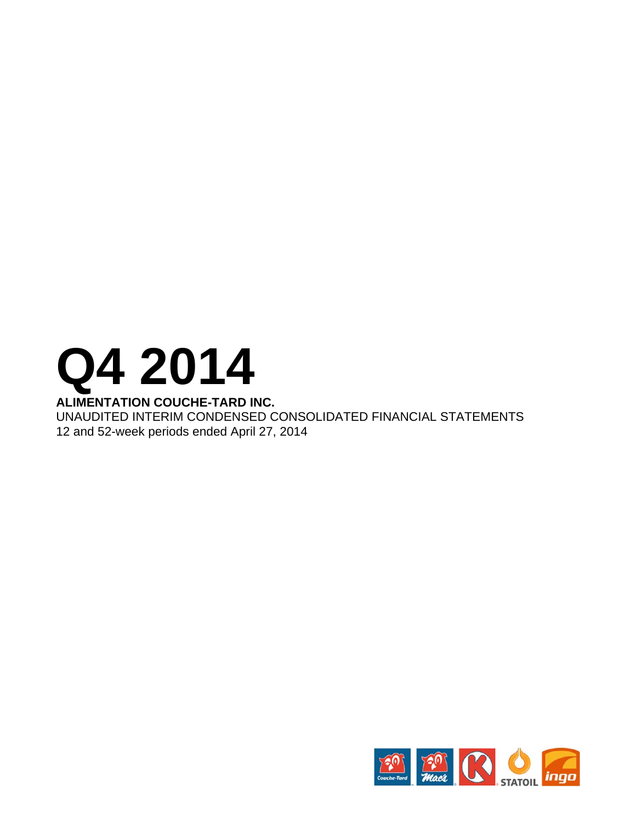# **Q4 2014**

# **ALIMENTATION COUCHE-TARD INC.**

UNAUDITED INTERIM CONDENSED CONSOLIDATED FINANCIAL STATEMENTS 12 and 52-week periods ended April 27, 2014

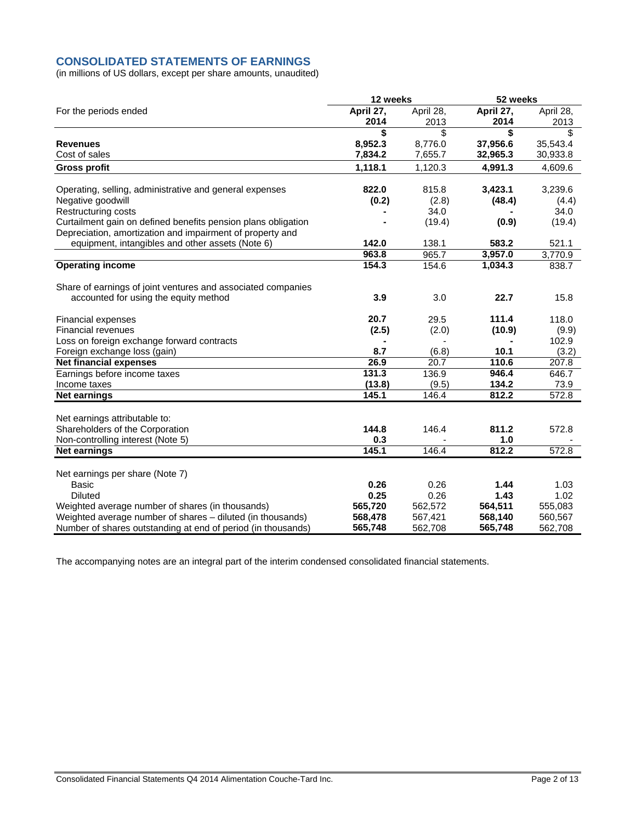# **CONSOLIDATED STATEMENTS OF EARNINGS**

(in millions of US dollars, except per share amounts, unaudited)

| April 27,<br>April 27,<br>April 28,<br>April 28,<br>For the periods ended<br>2014<br>2013<br>2014<br>2013<br>\$<br>\$<br>\$<br>\$<br>8,952.3<br>37,956.6<br><b>Revenues</b><br>8,776.0<br>35,543.4<br>7,834.2<br>Cost of sales<br>7,655.7<br>32,965.3<br>30,933.8<br>1,118.1<br>1,120.3<br>4,991.3<br>4,609.6<br><b>Gross profit</b><br>822.0<br>3,423.1<br>Operating, selling, administrative and general expenses<br>815.8<br>3,239.6<br>Negative goodwill<br>(0.2)<br>(2.8)<br>(48.4)<br>(4.4)<br>34.0<br>Restructuring costs<br>34.0<br>Curtailment gain on defined benefits pension plans obligation<br>(19.4)<br>(19.4)<br>(0.9)<br>Depreciation, amortization and impairment of property and<br>equipment, intangibles and other assets (Note 6)<br>142.0<br>138.1<br>583.2<br>521.1<br>963.8<br>965.7<br>3,957.0<br>3,770.9<br>154.3<br>154.6<br>838.7<br><b>Operating income</b><br>1,034.3<br>Share of earnings of joint ventures and associated companies<br>3.9<br>3.0<br>22.7<br>15.8<br>accounted for using the equity method<br>20.7<br>29.5<br>111.4<br>118.0<br><b>Financial expenses</b><br>(2.5)<br>(2.0)<br>(10.9)<br><b>Financial revenues</b><br>(9.9)<br>102.9<br>Loss on foreign exchange forward contracts<br>8.7<br>(6.8)<br>10.1<br>(3.2)<br>Foreign exchange loss (gain)<br>110.6<br>26.9<br>20.7<br>207.8<br><b>Net financial expenses</b><br>131.3<br>136.9<br>946.4<br>Earnings before income taxes<br>646.7<br>(13.8)<br>(9.5)<br>134.2<br>73.9<br>Income taxes<br>145.1<br>812.2<br>572.8<br>146.4<br><b>Net earnings</b><br>Net earnings attributable to:<br>Shareholders of the Corporation<br>144.8<br>146.4<br>811.2<br>572.8<br>1.0<br>0.3<br>Non-controlling interest (Note 5)<br>145.1<br>812.2<br>572.8<br>146.4<br><b>Net earnings</b><br>Net earnings per share (Note 7)<br>0.26<br>0.26<br>1.44<br>1.03<br>Basic<br>0.25<br>0.26<br>1.43<br>1.02<br><b>Diluted</b><br>Weighted average number of shares (in thousands)<br>565,720<br>562,572<br>564,511<br>555,083<br>Weighted average number of shares - diluted (in thousands)<br>568,478<br>568,140<br>560,567<br>567,421 |                                                              | 12 weeks |         | 52 weeks |         |  |
|--------------------------------------------------------------------------------------------------------------------------------------------------------------------------------------------------------------------------------------------------------------------------------------------------------------------------------------------------------------------------------------------------------------------------------------------------------------------------------------------------------------------------------------------------------------------------------------------------------------------------------------------------------------------------------------------------------------------------------------------------------------------------------------------------------------------------------------------------------------------------------------------------------------------------------------------------------------------------------------------------------------------------------------------------------------------------------------------------------------------------------------------------------------------------------------------------------------------------------------------------------------------------------------------------------------------------------------------------------------------------------------------------------------------------------------------------------------------------------------------------------------------------------------------------------------------------------------------------------------------------------------------------------------------------------------------------------------------------------------------------------------------------------------------------------------------------------------------------------------------------------------------------------------------------------------------------------------------------------------------------------------------------------------------------------------------------------------------------------------------------|--------------------------------------------------------------|----------|---------|----------|---------|--|
|                                                                                                                                                                                                                                                                                                                                                                                                                                                                                                                                                                                                                                                                                                                                                                                                                                                                                                                                                                                                                                                                                                                                                                                                                                                                                                                                                                                                                                                                                                                                                                                                                                                                                                                                                                                                                                                                                                                                                                                                                                                                                                                          |                                                              |          |         |          |         |  |
|                                                                                                                                                                                                                                                                                                                                                                                                                                                                                                                                                                                                                                                                                                                                                                                                                                                                                                                                                                                                                                                                                                                                                                                                                                                                                                                                                                                                                                                                                                                                                                                                                                                                                                                                                                                                                                                                                                                                                                                                                                                                                                                          |                                                              |          |         |          |         |  |
|                                                                                                                                                                                                                                                                                                                                                                                                                                                                                                                                                                                                                                                                                                                                                                                                                                                                                                                                                                                                                                                                                                                                                                                                                                                                                                                                                                                                                                                                                                                                                                                                                                                                                                                                                                                                                                                                                                                                                                                                                                                                                                                          |                                                              |          |         |          |         |  |
|                                                                                                                                                                                                                                                                                                                                                                                                                                                                                                                                                                                                                                                                                                                                                                                                                                                                                                                                                                                                                                                                                                                                                                                                                                                                                                                                                                                                                                                                                                                                                                                                                                                                                                                                                                                                                                                                                                                                                                                                                                                                                                                          |                                                              |          |         |          |         |  |
|                                                                                                                                                                                                                                                                                                                                                                                                                                                                                                                                                                                                                                                                                                                                                                                                                                                                                                                                                                                                                                                                                                                                                                                                                                                                                                                                                                                                                                                                                                                                                                                                                                                                                                                                                                                                                                                                                                                                                                                                                                                                                                                          |                                                              |          |         |          |         |  |
|                                                                                                                                                                                                                                                                                                                                                                                                                                                                                                                                                                                                                                                                                                                                                                                                                                                                                                                                                                                                                                                                                                                                                                                                                                                                                                                                                                                                                                                                                                                                                                                                                                                                                                                                                                                                                                                                                                                                                                                                                                                                                                                          |                                                              |          |         |          |         |  |
|                                                                                                                                                                                                                                                                                                                                                                                                                                                                                                                                                                                                                                                                                                                                                                                                                                                                                                                                                                                                                                                                                                                                                                                                                                                                                                                                                                                                                                                                                                                                                                                                                                                                                                                                                                                                                                                                                                                                                                                                                                                                                                                          |                                                              |          |         |          |         |  |
|                                                                                                                                                                                                                                                                                                                                                                                                                                                                                                                                                                                                                                                                                                                                                                                                                                                                                                                                                                                                                                                                                                                                                                                                                                                                                                                                                                                                                                                                                                                                                                                                                                                                                                                                                                                                                                                                                                                                                                                                                                                                                                                          |                                                              |          |         |          |         |  |
|                                                                                                                                                                                                                                                                                                                                                                                                                                                                                                                                                                                                                                                                                                                                                                                                                                                                                                                                                                                                                                                                                                                                                                                                                                                                                                                                                                                                                                                                                                                                                                                                                                                                                                                                                                                                                                                                                                                                                                                                                                                                                                                          |                                                              |          |         |          |         |  |
|                                                                                                                                                                                                                                                                                                                                                                                                                                                                                                                                                                                                                                                                                                                                                                                                                                                                                                                                                                                                                                                                                                                                                                                                                                                                                                                                                                                                                                                                                                                                                                                                                                                                                                                                                                                                                                                                                                                                                                                                                                                                                                                          |                                                              |          |         |          |         |  |
|                                                                                                                                                                                                                                                                                                                                                                                                                                                                                                                                                                                                                                                                                                                                                                                                                                                                                                                                                                                                                                                                                                                                                                                                                                                                                                                                                                                                                                                                                                                                                                                                                                                                                                                                                                                                                                                                                                                                                                                                                                                                                                                          |                                                              |          |         |          |         |  |
|                                                                                                                                                                                                                                                                                                                                                                                                                                                                                                                                                                                                                                                                                                                                                                                                                                                                                                                                                                                                                                                                                                                                                                                                                                                                                                                                                                                                                                                                                                                                                                                                                                                                                                                                                                                                                                                                                                                                                                                                                                                                                                                          |                                                              |          |         |          |         |  |
|                                                                                                                                                                                                                                                                                                                                                                                                                                                                                                                                                                                                                                                                                                                                                                                                                                                                                                                                                                                                                                                                                                                                                                                                                                                                                                                                                                                                                                                                                                                                                                                                                                                                                                                                                                                                                                                                                                                                                                                                                                                                                                                          |                                                              |          |         |          |         |  |
|                                                                                                                                                                                                                                                                                                                                                                                                                                                                                                                                                                                                                                                                                                                                                                                                                                                                                                                                                                                                                                                                                                                                                                                                                                                                                                                                                                                                                                                                                                                                                                                                                                                                                                                                                                                                                                                                                                                                                                                                                                                                                                                          |                                                              |          |         |          |         |  |
|                                                                                                                                                                                                                                                                                                                                                                                                                                                                                                                                                                                                                                                                                                                                                                                                                                                                                                                                                                                                                                                                                                                                                                                                                                                                                                                                                                                                                                                                                                                                                                                                                                                                                                                                                                                                                                                                                                                                                                                                                                                                                                                          |                                                              |          |         |          |         |  |
|                                                                                                                                                                                                                                                                                                                                                                                                                                                                                                                                                                                                                                                                                                                                                                                                                                                                                                                                                                                                                                                                                                                                                                                                                                                                                                                                                                                                                                                                                                                                                                                                                                                                                                                                                                                                                                                                                                                                                                                                                                                                                                                          |                                                              |          |         |          |         |  |
|                                                                                                                                                                                                                                                                                                                                                                                                                                                                                                                                                                                                                                                                                                                                                                                                                                                                                                                                                                                                                                                                                                                                                                                                                                                                                                                                                                                                                                                                                                                                                                                                                                                                                                                                                                                                                                                                                                                                                                                                                                                                                                                          |                                                              |          |         |          |         |  |
|                                                                                                                                                                                                                                                                                                                                                                                                                                                                                                                                                                                                                                                                                                                                                                                                                                                                                                                                                                                                                                                                                                                                                                                                                                                                                                                                                                                                                                                                                                                                                                                                                                                                                                                                                                                                                                                                                                                                                                                                                                                                                                                          |                                                              |          |         |          |         |  |
|                                                                                                                                                                                                                                                                                                                                                                                                                                                                                                                                                                                                                                                                                                                                                                                                                                                                                                                                                                                                                                                                                                                                                                                                                                                                                                                                                                                                                                                                                                                                                                                                                                                                                                                                                                                                                                                                                                                                                                                                                                                                                                                          |                                                              |          |         |          |         |  |
|                                                                                                                                                                                                                                                                                                                                                                                                                                                                                                                                                                                                                                                                                                                                                                                                                                                                                                                                                                                                                                                                                                                                                                                                                                                                                                                                                                                                                                                                                                                                                                                                                                                                                                                                                                                                                                                                                                                                                                                                                                                                                                                          |                                                              |          |         |          |         |  |
|                                                                                                                                                                                                                                                                                                                                                                                                                                                                                                                                                                                                                                                                                                                                                                                                                                                                                                                                                                                                                                                                                                                                                                                                                                                                                                                                                                                                                                                                                                                                                                                                                                                                                                                                                                                                                                                                                                                                                                                                                                                                                                                          |                                                              |          |         |          |         |  |
|                                                                                                                                                                                                                                                                                                                                                                                                                                                                                                                                                                                                                                                                                                                                                                                                                                                                                                                                                                                                                                                                                                                                                                                                                                                                                                                                                                                                                                                                                                                                                                                                                                                                                                                                                                                                                                                                                                                                                                                                                                                                                                                          |                                                              |          |         |          |         |  |
|                                                                                                                                                                                                                                                                                                                                                                                                                                                                                                                                                                                                                                                                                                                                                                                                                                                                                                                                                                                                                                                                                                                                                                                                                                                                                                                                                                                                                                                                                                                                                                                                                                                                                                                                                                                                                                                                                                                                                                                                                                                                                                                          |                                                              |          |         |          |         |  |
|                                                                                                                                                                                                                                                                                                                                                                                                                                                                                                                                                                                                                                                                                                                                                                                                                                                                                                                                                                                                                                                                                                                                                                                                                                                                                                                                                                                                                                                                                                                                                                                                                                                                                                                                                                                                                                                                                                                                                                                                                                                                                                                          |                                                              |          |         |          |         |  |
|                                                                                                                                                                                                                                                                                                                                                                                                                                                                                                                                                                                                                                                                                                                                                                                                                                                                                                                                                                                                                                                                                                                                                                                                                                                                                                                                                                                                                                                                                                                                                                                                                                                                                                                                                                                                                                                                                                                                                                                                                                                                                                                          |                                                              |          |         |          |         |  |
|                                                                                                                                                                                                                                                                                                                                                                                                                                                                                                                                                                                                                                                                                                                                                                                                                                                                                                                                                                                                                                                                                                                                                                                                                                                                                                                                                                                                                                                                                                                                                                                                                                                                                                                                                                                                                                                                                                                                                                                                                                                                                                                          |                                                              |          |         |          |         |  |
|                                                                                                                                                                                                                                                                                                                                                                                                                                                                                                                                                                                                                                                                                                                                                                                                                                                                                                                                                                                                                                                                                                                                                                                                                                                                                                                                                                                                                                                                                                                                                                                                                                                                                                                                                                                                                                                                                                                                                                                                                                                                                                                          |                                                              |          |         |          |         |  |
|                                                                                                                                                                                                                                                                                                                                                                                                                                                                                                                                                                                                                                                                                                                                                                                                                                                                                                                                                                                                                                                                                                                                                                                                                                                                                                                                                                                                                                                                                                                                                                                                                                                                                                                                                                                                                                                                                                                                                                                                                                                                                                                          |                                                              |          |         |          |         |  |
|                                                                                                                                                                                                                                                                                                                                                                                                                                                                                                                                                                                                                                                                                                                                                                                                                                                                                                                                                                                                                                                                                                                                                                                                                                                                                                                                                                                                                                                                                                                                                                                                                                                                                                                                                                                                                                                                                                                                                                                                                                                                                                                          |                                                              |          |         |          |         |  |
|                                                                                                                                                                                                                                                                                                                                                                                                                                                                                                                                                                                                                                                                                                                                                                                                                                                                                                                                                                                                                                                                                                                                                                                                                                                                                                                                                                                                                                                                                                                                                                                                                                                                                                                                                                                                                                                                                                                                                                                                                                                                                                                          |                                                              |          |         |          |         |  |
|                                                                                                                                                                                                                                                                                                                                                                                                                                                                                                                                                                                                                                                                                                                                                                                                                                                                                                                                                                                                                                                                                                                                                                                                                                                                                                                                                                                                                                                                                                                                                                                                                                                                                                                                                                                                                                                                                                                                                                                                                                                                                                                          |                                                              |          |         |          |         |  |
|                                                                                                                                                                                                                                                                                                                                                                                                                                                                                                                                                                                                                                                                                                                                                                                                                                                                                                                                                                                                                                                                                                                                                                                                                                                                                                                                                                                                                                                                                                                                                                                                                                                                                                                                                                                                                                                                                                                                                                                                                                                                                                                          |                                                              |          |         |          |         |  |
|                                                                                                                                                                                                                                                                                                                                                                                                                                                                                                                                                                                                                                                                                                                                                                                                                                                                                                                                                                                                                                                                                                                                                                                                                                                                                                                                                                                                                                                                                                                                                                                                                                                                                                                                                                                                                                                                                                                                                                                                                                                                                                                          |                                                              |          |         |          |         |  |
|                                                                                                                                                                                                                                                                                                                                                                                                                                                                                                                                                                                                                                                                                                                                                                                                                                                                                                                                                                                                                                                                                                                                                                                                                                                                                                                                                                                                                                                                                                                                                                                                                                                                                                                                                                                                                                                                                                                                                                                                                                                                                                                          |                                                              |          |         |          |         |  |
|                                                                                                                                                                                                                                                                                                                                                                                                                                                                                                                                                                                                                                                                                                                                                                                                                                                                                                                                                                                                                                                                                                                                                                                                                                                                                                                                                                                                                                                                                                                                                                                                                                                                                                                                                                                                                                                                                                                                                                                                                                                                                                                          | Number of shares outstanding at end of period (in thousands) | 565,748  | 562,708 | 565,748  | 562,708 |  |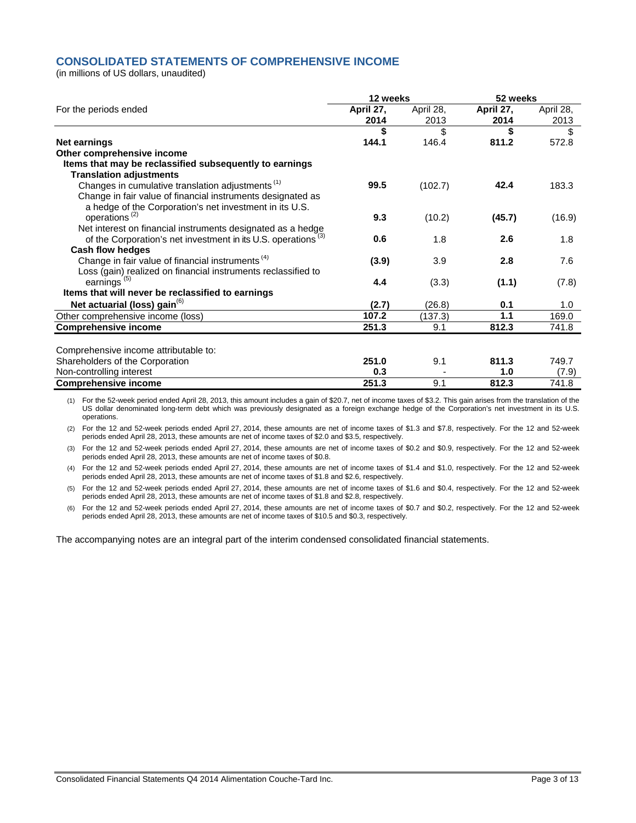# **CONSOLIDATED STATEMENTS OF COMPREHENSIVE INCOME**

(in millions of US dollars, unaudited)

|                                                                           | 12 weeks          |                   | 52 weeks          |                   |  |
|---------------------------------------------------------------------------|-------------------|-------------------|-------------------|-------------------|--|
| For the periods ended                                                     | April 27,<br>2014 | April 28,<br>2013 | April 27,<br>2014 | April 28,<br>2013 |  |
|                                                                           | \$                | \$                | \$                | \$                |  |
| <b>Net earnings</b>                                                       | 144.1             | 146.4             | 811.2             | 572.8             |  |
| Other comprehensive income                                                |                   |                   |                   |                   |  |
| Items that may be reclassified subsequently to earnings                   |                   |                   |                   |                   |  |
| <b>Translation adjustments</b>                                            |                   |                   |                   |                   |  |
| Changes in cumulative translation adjustments <sup>(1)</sup>              | 99.5              | (102.7)           | 42.4              | 183.3             |  |
| Change in fair value of financial instruments designated as               |                   |                   |                   |                   |  |
| a hedge of the Corporation's net investment in its U.S.                   |                   |                   |                   |                   |  |
| operations <sup>(2)</sup>                                                 | 9.3               | (10.2)            | (45.7)            | (16.9)            |  |
| Net interest on financial instruments designated as a hedge               |                   |                   |                   |                   |  |
| of the Corporation's net investment in its U.S. operations <sup>(3)</sup> | 0.6               | 1.8               | 2.6               | 1.8               |  |
| <b>Cash flow hedges</b>                                                   |                   |                   |                   |                   |  |
| Change in fair value of financial instruments <sup>(4)</sup>              | (3.9)             | 3.9               | 2.8               | 7.6               |  |
| Loss (gain) realized on financial instruments reclassified to             |                   |                   |                   |                   |  |
| earnings <sup>(5)</sup>                                                   | 4.4               | (3.3)             | (1.1)             | (7.8)             |  |
| Items that will never be reclassified to earnings                         |                   |                   |                   |                   |  |
| Net actuarial (loss) gain <sup>(6)</sup>                                  | (2.7)             | (26.8)            | 0.1               | 1.0               |  |
| Other comprehensive income (loss)                                         | 107.2             | (137.3)           | 1.1               | 169.0             |  |
| <b>Comprehensive income</b>                                               | 251.3             | 9.1               | 812.3             | 741.8             |  |
|                                                                           |                   |                   |                   |                   |  |
| Comprehensive income attributable to:                                     |                   |                   |                   |                   |  |
| Shareholders of the Corporation                                           | 251.0             | 9.1               | 811.3             | 749.7             |  |
| Non-controlling interest                                                  | 0.3               |                   | 1.0               | (7.9)             |  |
| <b>Comprehensive income</b>                                               | 251.3             | 9.1               | 812.3             | 741.8             |  |

(1) For the 52-week period ended April 28, 2013, this amount includes a gain of \$20.7, net of income taxes of \$3.2. This gain arises from the translation of the US dollar denominated long-term debt which was previously designated as a foreign exchange hedge of the Corporation's net investment in its U.S. operations.

(2) For the 12 and 52-week periods ended April 27, 2014, these amounts are net of income taxes of \$1.3 and \$7.8, respectively. For the 12 and 52-week periods ended April 28, 2013, these amounts are net of income taxes of \$2.0 and \$3.5, respectively.

(3) For the 12 and 52-week periods ended April 27, 2014, these amounts are net of income taxes of \$0.2 and \$0.9, respectively. For the 12 and 52-week periods ended April 28, 2013, these amounts are net of income taxes of \$0.8.

(4) For the 12 and 52-week periods ended April 27, 2014, these amounts are net of income taxes of \$1.4 and \$1.0, respectively. For the 12 and 52-week periods ended April 28, 2013, these amounts are net of income taxes of \$1.8 and \$2.6, respectively.

(5) For the 12 and 52-week periods ended April 27, 2014, these amounts are net of income taxes of \$1.6 and \$0.4, respectively. For the 12 and 52-week periods ended April 28, 2013, these amounts are net of income taxes of \$1.8 and \$2.8, respectively.

(6) For the 12 and 52-week periods ended April 27, 2014, these amounts are net of income taxes of \$0.7 and \$0.2, respectively. For the 12 and 52-week periods ended April 28, 2013, these amounts are net of income taxes of \$10.5 and \$0.3, respectively.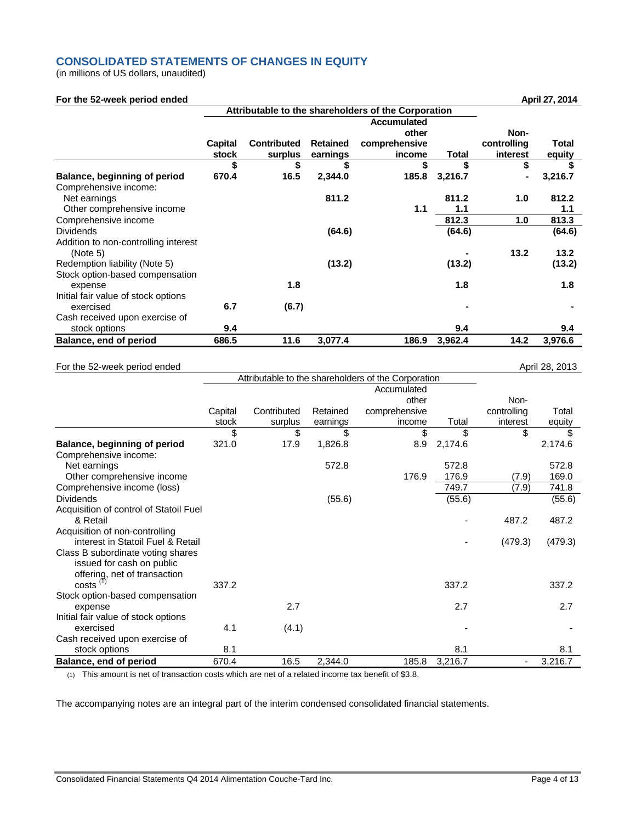# **CONSOLIDATED STATEMENTS OF CHANGES IN EQUITY**

(in millions of US dollars, unaudited)

### **For the 52-week period ended April 27, 2014**

|                                                  | Attributable to the shareholders of the Corporation |                               |                             |                         |         |                         |                        |
|--------------------------------------------------|-----------------------------------------------------|-------------------------------|-----------------------------|-------------------------|---------|-------------------------|------------------------|
|                                                  |                                                     |                               | Non-                        |                         |         |                         |                        |
|                                                  | Capital<br>stock                                    | <b>Contributed</b><br>surplus | <b>Retained</b><br>earnings | comprehensive<br>income | Total   | controlling<br>interest | <b>Total</b><br>equity |
|                                                  | \$                                                  | \$                            | \$                          | \$                      | \$      | \$                      |                        |
| Balance, beginning of period                     | 670.4                                               | 16.5                          | 2,344.0                     | 185.8                   | 3,216.7 | $\blacksquare$          | 3,216.7                |
| Comprehensive income:                            |                                                     |                               |                             |                         |         |                         |                        |
| Net earnings                                     |                                                     |                               | 811.2                       |                         | 811.2   | 1.0                     | 812.2                  |
| Other comprehensive income                       |                                                     |                               |                             | 1.1                     | 1.1     |                         | 1.1                    |
| Comprehensive income                             |                                                     |                               |                             |                         | 812.3   | 1.0                     | 813.3                  |
| <b>Dividends</b>                                 |                                                     |                               | (64.6)                      |                         | (64.6)  |                         | (64.6)                 |
| Addition to non-controlling interest<br>(Note 5) |                                                     |                               |                             |                         |         | 13.2                    | 13.2                   |
| Redemption liability (Note 5)                    |                                                     |                               | (13.2)                      |                         | (13.2)  |                         | (13.2)                 |
| Stock option-based compensation<br>expense       |                                                     | 1.8                           |                             |                         | 1.8     |                         | 1.8                    |
| Initial fair value of stock options              |                                                     |                               |                             |                         |         |                         |                        |
| exercised                                        | 6.7                                                 | (6.7)                         |                             |                         |         |                         |                        |
| Cash received upon exercise of                   |                                                     |                               |                             |                         |         |                         |                        |
| stock options                                    | 9.4                                                 |                               |                             |                         | 9.4     |                         | 9.4                    |
| Balance, end of period                           | 686.5                                               | 11.6                          | 3,077.4                     | 186.9                   | 3,962.4 | 14.2                    | 3,976.6                |

### For the 52-week period ended April 28, 2013

|                                        |         |             |          | Attributable to the shareholders of the Corporation |         |             |         |
|----------------------------------------|---------|-------------|----------|-----------------------------------------------------|---------|-------------|---------|
|                                        |         |             |          | Accumulated                                         |         |             |         |
|                                        |         |             |          | other                                               |         | Non-        |         |
|                                        | Capital | Contributed | Retained | comprehensive                                       |         | controlling | Total   |
|                                        | stock   | surplus     | earnings | income                                              | Total   | interest    | equity  |
|                                        | \$      | \$          | \$       | \$                                                  | \$      | \$          | \$      |
| Balance, beginning of period           | 321.0   | 17.9        | 1,826.8  | 8.9                                                 | 2,174.6 |             | 2,174.6 |
| Comprehensive income:                  |         |             |          |                                                     |         |             |         |
| Net earnings                           |         |             | 572.8    |                                                     | 572.8   |             | 572.8   |
| Other comprehensive income             |         |             |          | 176.9                                               | 176.9   | (7.9)       | 169.0   |
| Comprehensive income (loss)            |         |             |          |                                                     | 749.7   | (7.9)       | 741.8   |
| <b>Dividends</b>                       |         |             | (55.6)   |                                                     | (55.6)  |             | (55.6)  |
| Acquisition of control of Statoil Fuel |         |             |          |                                                     |         |             |         |
| & Retail                               |         |             |          |                                                     | ٠       | 487.2       | 487.2   |
| Acquisition of non-controlling         |         |             |          |                                                     |         |             |         |
| interest in Statoil Fuel & Retail      |         |             |          |                                                     |         | (479.3)     | (479.3) |
| Class B subordinate voting shares      |         |             |          |                                                     |         |             |         |
| issued for cash on public              |         |             |          |                                                     |         |             |         |
| offering, net of transaction           |         |             |          |                                                     |         |             |         |
| $costs$ <sup><math>(1)</math></sup>    | 337.2   |             |          |                                                     | 337.2   |             | 337.2   |
| Stock option-based compensation        |         |             |          |                                                     |         |             |         |
| expense                                |         | 2.7         |          |                                                     | 2.7     |             | 2.7     |
| Initial fair value of stock options    |         |             |          |                                                     |         |             |         |
| exercised                              | 4.1     | (4.1)       |          |                                                     |         |             |         |
| Cash received upon exercise of         |         |             |          |                                                     |         |             |         |
| stock options                          | 8.1     |             |          |                                                     | 8.1     |             | 8.1     |
| Balance, end of period                 | 670.4   | 16.5        | 2,344.0  | 185.8                                               | 3,216.7 | ۰           | 3,216.7 |

(1) This amount is net of transaction costs which are net of a related income tax benefit of \$3.8.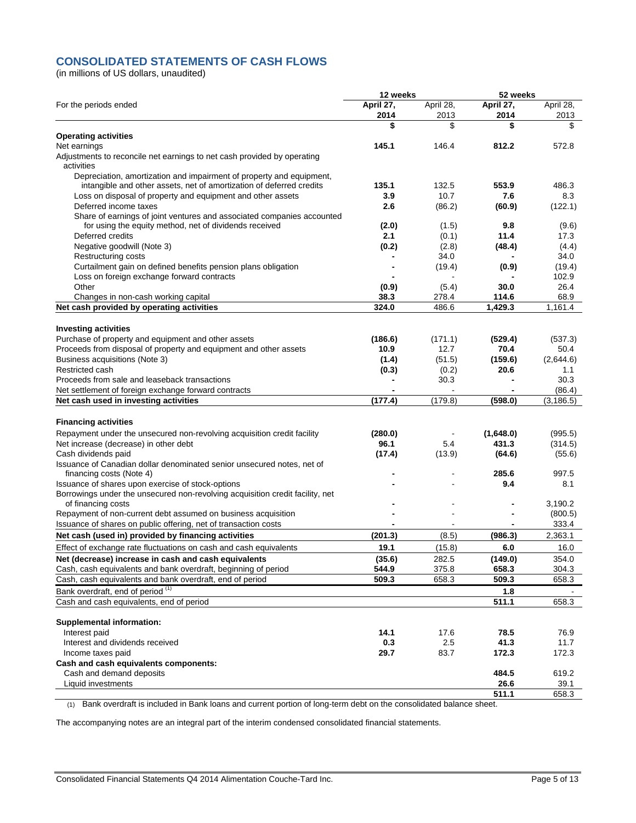# **CONSOLIDATED STATEMENTS OF CASH FLOWS**

(in millions of US dollars, unaudited)

|                                                                                               | 12 weeks          |                   | 52 weeks          |                      |  |
|-----------------------------------------------------------------------------------------------|-------------------|-------------------|-------------------|----------------------|--|
| For the periods ended                                                                         | April 27,<br>2014 | April 28,<br>2013 | April 27,<br>2014 | April 28,<br>2013    |  |
|                                                                                               | \$                | \$                | \$                | \$                   |  |
| <b>Operating activities</b>                                                                   |                   |                   |                   |                      |  |
| Net earnings                                                                                  | 145.1             | 146.4             | 812.2             | 572.8                |  |
| Adjustments to reconcile net earnings to net cash provided by operating<br>activities         |                   |                   |                   |                      |  |
| Depreciation, amortization and impairment of property and equipment,                          |                   |                   |                   |                      |  |
| intangible and other assets, net of amortization of deferred credits                          | 135.1             | 132.5             | 553.9             | 486.3                |  |
| Loss on disposal of property and equipment and other assets                                   | 3.9               | 10.7              | 7.6               | 8.3                  |  |
| Deferred income taxes                                                                         | 2.6               | (86.2)            | (60.9)            | (122.1)              |  |
| Share of earnings of joint ventures and associated companies accounted                        |                   |                   |                   |                      |  |
| for using the equity method, net of dividends received                                        | (2.0)             | (1.5)             | 9.8               | (9.6)                |  |
| Deferred credits                                                                              | 2.1               | (0.1)             | 11.4              | 17.3                 |  |
| Negative goodwill (Note 3)<br>Restructuring costs                                             | (0.2)             | (2.8)<br>34.0     | (48.4)            | (4.4)<br>34.0        |  |
| Curtailment gain on defined benefits pension plans obligation                                 |                   | (19.4)            | (0.9)             | (19.4)               |  |
| Loss on foreign exchange forward contracts                                                    |                   |                   |                   | 102.9                |  |
| Other                                                                                         | (0.9)             | (5.4)             | 30.0              | 26.4                 |  |
| Changes in non-cash working capital                                                           | 38.3              | 278.4             | 114.6             | 68.9                 |  |
| Net cash provided by operating activities                                                     | 324.0             | 486.6             | 1,429.3           | 1,161.4              |  |
|                                                                                               |                   |                   |                   |                      |  |
| <b>Investing activities</b>                                                                   |                   |                   |                   |                      |  |
| Purchase of property and equipment and other assets                                           | (186.6)           | (171.1)           | (529.4)           | (537.3)              |  |
| Proceeds from disposal of property and equipment and other assets                             | 10.9              | 12.7              | 70.4              | 50.4                 |  |
| Business acquisitions (Note 3)                                                                | (1.4)             | (51.5)            | (159.6)           | (2,644.6)            |  |
| Restricted cash                                                                               | (0.3)             | (0.2)             | 20.6              | 1.1                  |  |
| Proceeds from sale and leaseback transactions                                                 |                   | 30.3              |                   | 30.3                 |  |
| Net settlement of foreign exchange forward contracts<br>Net cash used in investing activities | (177.4)           | (179.8)           | -<br>(598.0)      | (86.4)<br>(3, 186.5) |  |
|                                                                                               |                   |                   |                   |                      |  |
| <b>Financing activities</b>                                                                   |                   |                   |                   |                      |  |
| Repayment under the unsecured non-revolving acquisition credit facility                       | (280.0)           |                   | (1,648.0)         | (995.5)              |  |
| Net increase (decrease) in other debt                                                         | 96.1              | 5.4               | 431.3             | (314.5)              |  |
| Cash dividends paid                                                                           | (17.4)            | (13.9)            | (64.6)            | (55.6)               |  |
| Issuance of Canadian dollar denominated senior unsecured notes, net of                        |                   |                   |                   |                      |  |
| financing costs (Note 4)                                                                      |                   |                   | 285.6             | 997.5                |  |
| Issuance of shares upon exercise of stock-options                                             |                   |                   | 9.4               | 8.1                  |  |
| Borrowings under the unsecured non-revolving acquisition credit facility, net                 |                   |                   |                   |                      |  |
| of financing costs<br>Repayment of non-current debt assumed on business acquisition           |                   |                   |                   | 3,190.2<br>(800.5)   |  |
| Issuance of shares on public offering, net of transaction costs                               |                   | $\blacksquare$    |                   | 333.4                |  |
| Net cash (used in) provided by financing activities                                           | (201.3)           | (8.5)             | (986.3)           | 2,363.1              |  |
| Effect of exchange rate fluctuations on cash and cash equivalents                             | 19.1              | (15.8)            | 6.0               | 16.0                 |  |
| Net (decrease) increase in cash and cash equivalents                                          | (35.6)            | 282.5             | (149.0)           | 354.0                |  |
| Cash, cash equivalents and bank overdraft, beginning of period                                | 544.9             | 375.8             | 658.3             | 304.3                |  |
| Cash, cash equivalents and bank overdraft, end of period                                      | 509.3             | 658.3             | 509.3             | 658.3                |  |
| Bank overdraft, end of period (1)                                                             |                   |                   | 1.8               |                      |  |
| Cash and cash equivalents, end of period                                                      |                   |                   | 511.1             | 658.3                |  |
|                                                                                               |                   |                   |                   |                      |  |
| <b>Supplemental information:</b>                                                              |                   |                   |                   |                      |  |
| Interest paid                                                                                 | 14.1              | 17.6              | 78.5              | 76.9                 |  |
| Interest and dividends received                                                               | 0.3               | 2.5               | 41.3              | 11.7                 |  |
| Income taxes paid<br>Cash and cash equivalents components:                                    | 29.7              | 83.7              | 172.3             | 172.3                |  |
| Cash and demand deposits                                                                      |                   |                   | 484.5             | 619.2                |  |
| Liquid investments                                                                            |                   |                   | 26.6              | 39.1                 |  |
|                                                                                               |                   |                   | 511.1             | 658.3                |  |

(1) Bank overdraft is included in Bank loans and current portion of long-term debt on the consolidated balance sheet.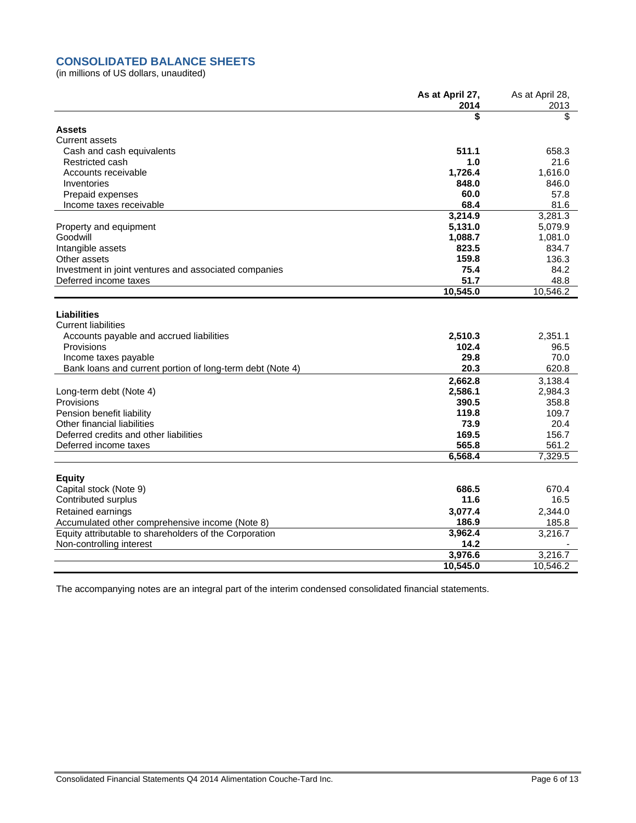# **CONSOLIDATED BALANCE SHEETS**

(in millions of US dollars, unaudited)

|                                                           | As at April 27,<br>2014 | As at April 28,<br>2013 |
|-----------------------------------------------------------|-------------------------|-------------------------|
|                                                           | \$                      | \$                      |
| <b>Assets</b>                                             |                         |                         |
| <b>Current assets</b>                                     |                         |                         |
| Cash and cash equivalents                                 | 511.1                   | 658.3                   |
| Restricted cash                                           | 1.0                     | 21.6                    |
| Accounts receivable                                       | 1,726.4                 | 1,616.0                 |
| Inventories                                               | 848.0                   | 846.0                   |
| Prepaid expenses                                          | 60.0                    | 57.8                    |
| Income taxes receivable                                   | 68.4                    | 81.6                    |
|                                                           | 3,214.9                 | 3,281.3                 |
| Property and equipment                                    | 5,131.0                 | 5,079.9                 |
| Goodwill                                                  | 1,088.7                 | 1,081.0                 |
| Intangible assets                                         | 823.5                   | 834.7                   |
| Other assets                                              | 159.8                   | 136.3                   |
| Investment in joint ventures and associated companies     | 75.4                    | 84.2                    |
| Deferred income taxes                                     | 51.7                    | 48.8                    |
|                                                           | 10,545.0                | 10,546.2                |
|                                                           |                         |                         |
| <b>Liabilities</b><br><b>Current liabilities</b>          |                         |                         |
|                                                           | 2,510.3                 | 2,351.1                 |
| Accounts payable and accrued liabilities<br>Provisions    | 102.4                   | 96.5                    |
| Income taxes payable                                      | 29.8                    | 70.0                    |
| Bank loans and current portion of long-term debt (Note 4) | 20.3                    | 620.8                   |
|                                                           |                         |                         |
|                                                           | 2,662.8                 | 3,138.4                 |
| Long-term debt (Note 4)                                   | 2,586.1                 | 2,984.3                 |
| Provisions                                                | 390.5                   | 358.8                   |
| Pension benefit liability                                 | 119.8                   | 109.7                   |
| Other financial liabilities                               | 73.9                    | 20.4                    |
| Deferred credits and other liabilities                    | 169.5<br>565.8          | 156.7                   |
| Deferred income taxes                                     |                         | 561.2                   |
|                                                           | 6,568.4                 | 7,329.5                 |
| <b>Equity</b>                                             |                         |                         |
| Capital stock (Note 9)                                    | 686.5                   | 670.4                   |
| Contributed surplus                                       | 11.6                    | 16.5                    |
| Retained earnings                                         | 3,077.4                 | 2,344.0                 |
| Accumulated other comprehensive income (Note 8)           | 186.9                   | 185.8                   |
| Equity attributable to shareholders of the Corporation    | 3,962.4                 | 3,216.7                 |
| Non-controlling interest                                  | 14.2                    |                         |
|                                                           | 3,976.6                 | 3,216.7                 |
|                                                           | 10,545.0                | 10.546.2                |
|                                                           |                         |                         |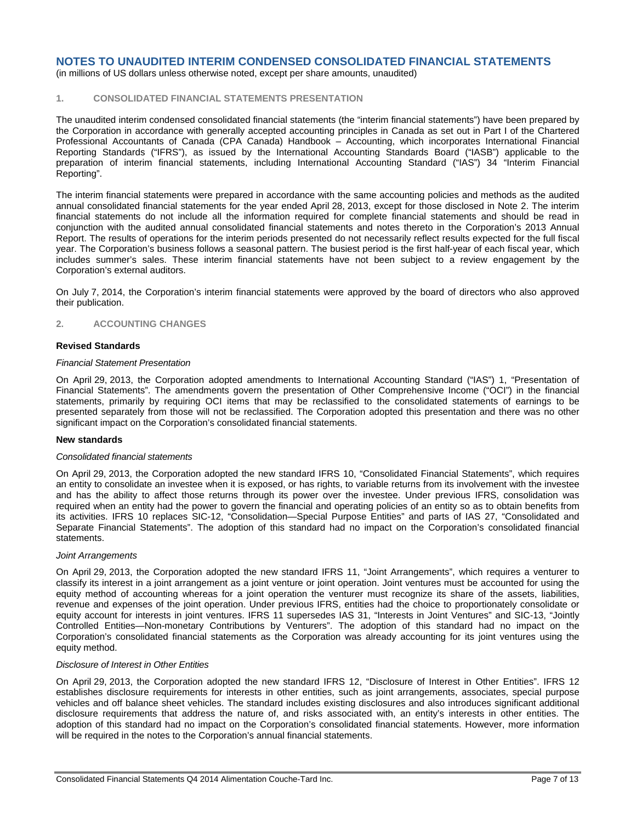(in millions of US dollars unless otherwise noted, except per share amounts, unaudited)

# **1. CONSOLIDATED FINANCIAL STATEMENTS PRESENTATION**

The unaudited interim condensed consolidated financial statements (the "interim financial statements") have been prepared by the Corporation in accordance with generally accepted accounting principles in Canada as set out in Part I of the Chartered Professional Accountants of Canada (CPA Canada) Handbook – Accounting, which incorporates International Financial Reporting Standards ("IFRS"), as issued by the International Accounting Standards Board ("IASB") applicable to the preparation of interim financial statements, including International Accounting Standard ("IAS") 34 "Interim Financial Reporting".

The interim financial statements were prepared in accordance with the same accounting policies and methods as the audited annual consolidated financial statements for the year ended April 28, 2013, except for those disclosed in Note 2. The interim financial statements do not include all the information required for complete financial statements and should be read in conjunction with the audited annual consolidated financial statements and notes thereto in the Corporation's 2013 Annual Report. The results of operations for the interim periods presented do not necessarily reflect results expected for the full fiscal year. The Corporation's business follows a seasonal pattern. The busiest period is the first half-year of each fiscal year, which includes summer's sales. These interim financial statements have not been subject to a review engagement by the Corporation's external auditors.

On July 7, 2014, the Corporation's interim financial statements were approved by the board of directors who also approved their publication.

### **2. ACCOUNTING CHANGES**

### **Revised Standards**

### *Financial Statement Presentation*

On April 29, 2013, the Corporation adopted amendments to International Accounting Standard ("IAS") 1, "Presentation of Financial Statements". The amendments govern the presentation of Other Comprehensive Income ("OCI") in the financial statements, primarily by requiring OCI items that may be reclassified to the consolidated statements of earnings to be presented separately from those will not be reclassified. The Corporation adopted this presentation and there was no other significant impact on the Corporation's consolidated financial statements.

### **New standards**

### *Consolidated financial statements*

On April 29, 2013, the Corporation adopted the new standard IFRS 10, "Consolidated Financial Statements", which requires an entity to consolidate an investee when it is exposed, or has rights, to variable returns from its involvement with the investee and has the ability to affect those returns through its power over the investee. Under previous IFRS, consolidation was required when an entity had the power to govern the financial and operating policies of an entity so as to obtain benefits from its activities. IFRS 10 replaces SIC-12, "Consolidation—Special Purpose Entities" and parts of IAS 27, "Consolidated and Separate Financial Statements". The adoption of this standard had no impact on the Corporation's consolidated financial statements.

### *Joint Arrangements*

On April 29, 2013, the Corporation adopted the new standard IFRS 11, "Joint Arrangements", which requires a venturer to classify its interest in a joint arrangement as a joint venture or joint operation. Joint ventures must be accounted for using the equity method of accounting whereas for a joint operation the venturer must recognize its share of the assets, liabilities, revenue and expenses of the joint operation. Under previous IFRS, entities had the choice to proportionately consolidate or equity account for interests in joint ventures. IFRS 11 supersedes IAS 31, "Interests in Joint Ventures" and SIC-13, "Jointly Controlled Entities—Non-monetary Contributions by Venturers". The adoption of this standard had no impact on the Corporation's consolidated financial statements as the Corporation was already accounting for its joint ventures using the equity method.

### *Disclosure of Interest in Other Entities*

On April 29, 2013, the Corporation adopted the new standard IFRS 12, "Disclosure of Interest in Other Entities". IFRS 12 establishes disclosure requirements for interests in other entities, such as joint arrangements, associates, special purpose vehicles and off balance sheet vehicles. The standard includes existing disclosures and also introduces significant additional disclosure requirements that address the nature of, and risks associated with, an entity's interests in other entities. The adoption of this standard had no impact on the Corporation's consolidated financial statements. However, more information will be required in the notes to the Corporation's annual financial statements.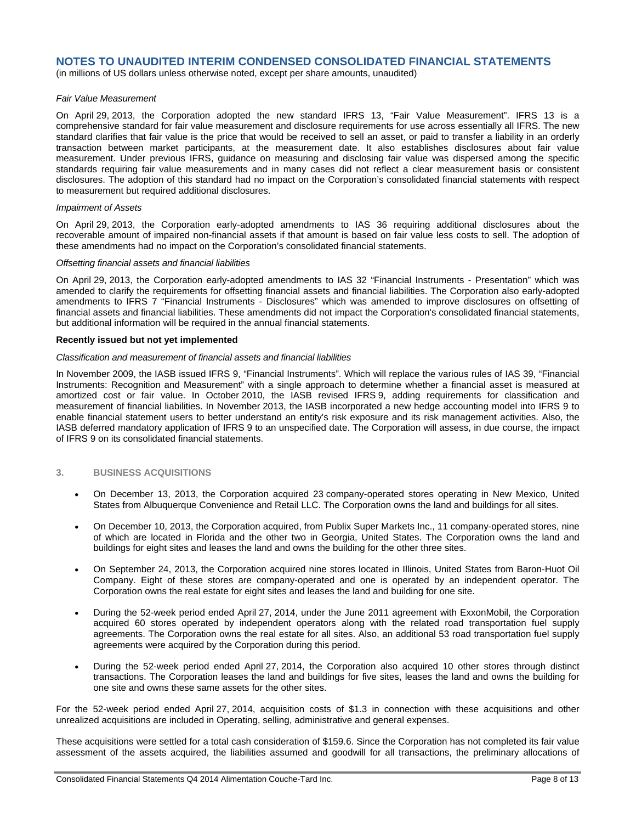(in millions of US dollars unless otherwise noted, except per share amounts, unaudited)

### *Fair Value Measurement*

On April 29, 2013, the Corporation adopted the new standard IFRS 13, "Fair Value Measurement". IFRS 13 is a comprehensive standard for fair value measurement and disclosure requirements for use across essentially all IFRS. The new standard clarifies that fair value is the price that would be received to sell an asset, or paid to transfer a liability in an orderly transaction between market participants, at the measurement date. It also establishes disclosures about fair value measurement. Under previous IFRS, guidance on measuring and disclosing fair value was dispersed among the specific standards requiring fair value measurements and in many cases did not reflect a clear measurement basis or consistent disclosures. The adoption of this standard had no impact on the Corporation's consolidated financial statements with respect to measurement but required additional disclosures.

### *Impairment of Assets*

On April 29, 2013, the Corporation early-adopted amendments to IAS 36 requiring additional disclosures about the recoverable amount of impaired non-financial assets if that amount is based on fair value less costs to sell. The adoption of these amendments had no impact on the Corporation's consolidated financial statements.

### *Offsetting financial assets and financial liabilities*

On April 29, 2013, the Corporation early-adopted amendments to IAS 32 "Financial Instruments - Presentation" which was amended to clarify the requirements for offsetting financial assets and financial liabilities. The Corporation also early-adopted amendments to IFRS 7 "Financial Instruments - Disclosures" which was amended to improve disclosures on offsetting of financial assets and financial liabilities. These amendments did not impact the Corporation's consolidated financial statements, but additional information will be required in the annual financial statements.

### **Recently issued but not yet implemented**

### *Classification and measurement of financial assets and financial liabilities*

In November 2009, the IASB issued IFRS 9, "Financial Instruments". Which will replace the various rules of IAS 39, "Financial Instruments: Recognition and Measurement" with a single approach to determine whether a financial asset is measured at amortized cost or fair value. In October 2010, the IASB revised IFRS 9, adding requirements for classification and measurement of financial liabilities. In November 2013, the IASB incorporated a new hedge accounting model into IFRS 9 to enable financial statement users to better understand an entity's risk exposure and its risk management activities. Also, the IASB deferred mandatory application of IFRS 9 to an unspecified date. The Corporation will assess, in due course, the impact of IFRS 9 on its consolidated financial statements.

### **3. BUSINESS ACQUISITIONS**

- On December 13, 2013, the Corporation acquired 23 company-operated stores operating in New Mexico, United States from Albuquerque Convenience and Retail LLC. The Corporation owns the land and buildings for all sites.
- On December 10, 2013, the Corporation acquired, from Publix Super Markets Inc., 11 company-operated stores, nine of which are located in Florida and the other two in Georgia, United States. The Corporation owns the land and buildings for eight sites and leases the land and owns the building for the other three sites.
- On September 24, 2013, the Corporation acquired nine stores located in Illinois, United States from Baron-Huot Oil Company. Eight of these stores are company-operated and one is operated by an independent operator. The Corporation owns the real estate for eight sites and leases the land and building for one site.
- During the 52-week period ended April 27, 2014, under the June 2011 agreement with ExxonMobil, the Corporation acquired 60 stores operated by independent operators along with the related road transportation fuel supply agreements. The Corporation owns the real estate for all sites. Also, an additional 53 road transportation fuel supply agreements were acquired by the Corporation during this period.
- During the 52-week period ended April 27, 2014, the Corporation also acquired 10 other stores through distinct transactions. The Corporation leases the land and buildings for five sites, leases the land and owns the building for one site and owns these same assets for the other sites.

For the 52-week period ended April 27, 2014, acquisition costs of \$1.3 in connection with these acquisitions and other unrealized acquisitions are included in Operating, selling, administrative and general expenses.

These acquisitions were settled for a total cash consideration of \$159.6. Since the Corporation has not completed its fair value assessment of the assets acquired, the liabilities assumed and goodwill for all transactions, the preliminary allocations of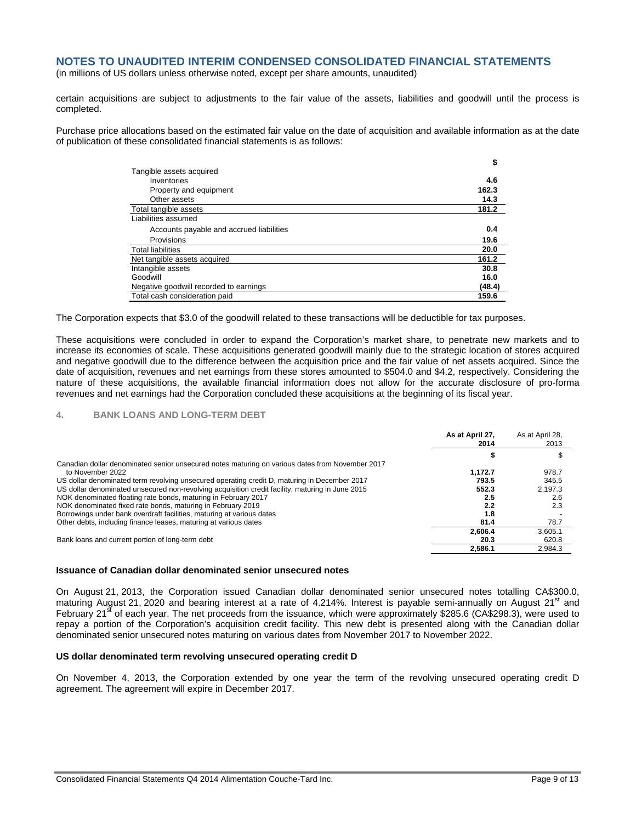(in millions of US dollars unless otherwise noted, except per share amounts, unaudited)

certain acquisitions are subject to adjustments to the fair value of the assets, liabilities and goodwill until the process is completed.

Purchase price allocations based on the estimated fair value on the date of acquisition and available information as at the date of publication of these consolidated financial statements is as follows:

|                                          | \$     |
|------------------------------------------|--------|
| Tangible assets acquired                 |        |
| Inventories                              | 4.6    |
| Property and equipment                   | 162.3  |
| Other assets                             | 14.3   |
| Total tangible assets                    | 181.2  |
| Liabilities assumed                      |        |
| Accounts payable and accrued liabilities | 0.4    |
| Provisions                               | 19.6   |
| <b>Total liabilities</b>                 | 20.0   |
| Net tangible assets acquired             | 161.2  |
| Intangible assets                        | 30.8   |
| Goodwill                                 | 16.0   |
| Negative goodwill recorded to earnings   | (48.4) |
| Total cash consideration paid            | 159.6  |

The Corporation expects that \$3.0 of the goodwill related to these transactions will be deductible for tax purposes.

These acquisitions were concluded in order to expand the Corporation's market share, to penetrate new markets and to increase its economies of scale. These acquisitions generated goodwill mainly due to the strategic location of stores acquired and negative goodwill due to the difference between the acquisition price and the fair value of net assets acquired. Since the date of acquisition, revenues and net earnings from these stores amounted to \$504.0 and \$4.2, respectively. Considering the nature of these acquisitions, the available financial information does not allow for the accurate disclosure of pro-forma revenues and net earnings had the Corporation concluded these acquisitions at the beginning of its fiscal year.

### **4. BANK LOANS AND LONG-TERM DEBT**

|                                                                                                  | As at April 27,<br>2014 | As at April 28,<br>2013 |
|--------------------------------------------------------------------------------------------------|-------------------------|-------------------------|
|                                                                                                  |                         |                         |
| Canadian dollar denominated senior unsecured notes maturing on various dates from November 2017  |                         |                         |
| to November 2022                                                                                 | 1.172.7                 | 978.7                   |
| US dollar denominated term revolving unsecured operating credit D, maturing in December 2017     | 793.5                   | 345.5                   |
| US dollar denominated unsecured non-revolving acquisition credit facility, maturing in June 2015 | 552.3                   | 2,197.3                 |
| NOK denominated floating rate bonds, maturing in February 2017                                   | 2.5                     | 2.6                     |
| NOK denominated fixed rate bonds, maturing in February 2019                                      | 2.2                     | 2.3                     |
| Borrowings under bank overdraft facilities, maturing at various dates                            | 1.8                     |                         |
| Other debts, including finance leases, maturing at various dates                                 | 81.4                    | 78.7                    |
|                                                                                                  | 2.606.4                 | 3,605.1                 |
| Bank loans and current portion of long-term debt                                                 | 20.3                    | 620.8                   |
|                                                                                                  | 2.586.1                 | 2,984.3                 |

### **Issuance of Canadian dollar denominated senior unsecured notes**

On August 21, 2013, the Corporation issued Canadian dollar denominated senior unsecured notes totalling CA\$300.0, maturing August 21, 2020 and bearing interest at a rate of 4.214%. Interest is payable semi-annually on August  $21<sup>st</sup>$  and February 21<sup>st</sup> of each year. The net proceeds from the issuance, which were approximately \$285.6 (CA\$298.3), were used to repay a portion of the Corporation's acquisition credit facility. This new debt is presented along with the Canadian dollar denominated senior unsecured notes maturing on various dates from November 2017 to November 2022.

### **US dollar denominated term revolving unsecured operating credit D**

On November 4, 2013, the Corporation extended by one year the term of the revolving unsecured operating credit D agreement. The agreement will expire in December 2017.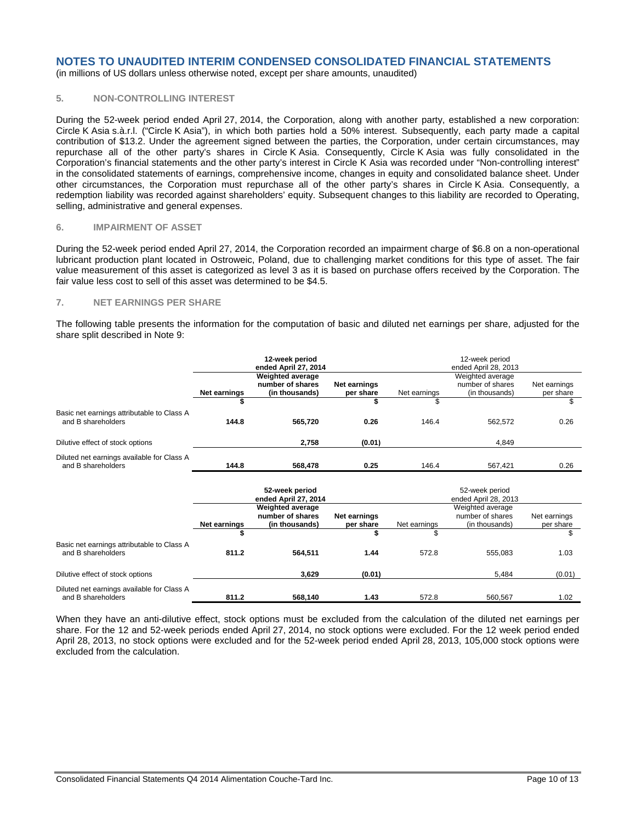(in millions of US dollars unless otherwise noted, except per share amounts, unaudited)

# **5. NON-CONTROLLING INTEREST**

During the 52-week period ended April 27, 2014, the Corporation, along with another party, established a new corporation: Circle K Asia s.à.r.l. ("Circle K Asia"), in which both parties hold a 50% interest. Subsequently, each party made a capital contribution of \$13.2. Under the agreement signed between the parties, the Corporation, under certain circumstances, may repurchase all of the other party's shares in Circle K Asia. Consequently, Circle K Asia was fully consolidated in the Corporation's financial statements and the other party's interest in Circle K Asia was recorded under "Non-controlling interest" in the consolidated statements of earnings, comprehensive income, changes in equity and consolidated balance sheet. Under other circumstances, the Corporation must repurchase all of the other party's shares in Circle K Asia. Consequently, a redemption liability was recorded against shareholders' equity. Subsequent changes to this liability are recorded to Operating, selling, administrative and general expenses.

### **6. IMPAIRMENT OF ASSET**

During the 52-week period ended April 27, 2014, the Corporation recorded an impairment charge of \$6.8 on a non-operational lubricant production plant located in Ostroweic, Poland, due to challenging market conditions for this type of asset. The fair value measurement of this asset is categorized as level 3 as it is based on purchase offers received by the Corporation. The fair value less cost to sell of this asset was determined to be \$4.5.

### **7. NET EARNINGS PER SHARE**

The following table presents the information for the computation of basic and diluted net earnings per share, adjusted for the share split described in Note 9:

|                                                                  |                     | 12-week period<br>ended April 27, 2014                        |                           |              | 12-week period<br>ended April 28, 2013                 |                           |
|------------------------------------------------------------------|---------------------|---------------------------------------------------------------|---------------------------|--------------|--------------------------------------------------------|---------------------------|
|                                                                  | Net earnings        | <b>Weighted average</b><br>number of shares<br>(in thousands) | Net earnings<br>per share | Net earnings | Weighted average<br>number of shares<br>(in thousands) | Net earnings<br>per share |
|                                                                  | \$                  |                                                               | S                         | \$           |                                                        | \$                        |
| Basic net earnings attributable to Class A<br>and B shareholders | 144.8               | 565,720                                                       | 0.26                      | 146.4        | 562,572                                                | 0.26                      |
| Dilutive effect of stock options                                 |                     | 2,758                                                         | (0.01)                    |              | 4.849                                                  |                           |
| Diluted net earnings available for Class A<br>and B shareholders | 144.8               | 568,478                                                       | 0.25                      | 146.4        | 567,421                                                | 0.26                      |
|                                                                  |                     | 52-week period<br>ended April 27, 2014                        |                           |              | 52-week period<br>ended April 28, 2013                 |                           |
|                                                                  | <b>Net earnings</b> | <b>Weighted average</b><br>number of shares<br>(in thousands) | Net earnings<br>per share | Net earnings | Weighted average<br>number of shares<br>(in thousands) | Net earnings<br>per share |
|                                                                  | \$                  |                                                               | \$                        | S            |                                                        | \$                        |
| Basic net earnings attributable to Class A<br>and B shareholders | 811.2               | 564,511                                                       | 1.44                      | 572.8        | 555,083                                                | 1.03                      |
| Dilutive effect of stock options                                 |                     | 3,629                                                         | (0.01)                    |              | 5,484                                                  | (0.01)                    |
| Diluted net earnings available for Class A<br>and B shareholders | 811.2               | 568,140                                                       | 1.43                      | 572.8        | 560,567                                                | 1.02                      |

When they have an anti-dilutive effect, stock options must be excluded from the calculation of the diluted net earnings per share. For the 12 and 52-week periods ended April 27, 2014, no stock options were excluded. For the 12 week period ended April 28, 2013, no stock options were excluded and for the 52-week period ended April 28, 2013, 105,000 stock options were excluded from the calculation.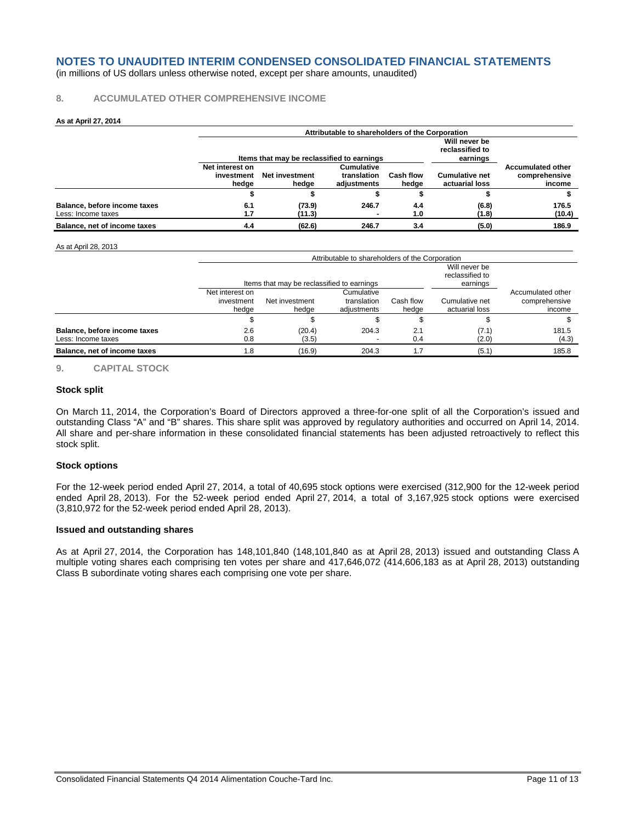(in millions of US dollars unless otherwise noted, except per share amounts, unaudited)

### **8. ACCUMULATED OTHER COMPREHENSIVE INCOME**

### **As at April 27, 2014**

|                                                    |                                        | Attributable to shareholders of the Corporation                                            |                                          |                    |                                         |                                                     |  |  |  |
|----------------------------------------------------|----------------------------------------|--------------------------------------------------------------------------------------------|------------------------------------------|--------------------|-----------------------------------------|-----------------------------------------------------|--|--|--|
|                                                    |                                        | Will never be<br>reclassified to<br>Items that may be reclassified to earnings<br>earnings |                                          |                    |                                         |                                                     |  |  |  |
|                                                    | Net interest on<br>investment<br>hedge | Net investment<br>hedge                                                                    | Cumulative<br>translation<br>adiustments | Cash flow<br>hedae | <b>Cumulative net</b><br>actuarial loss | <b>Accumulated other</b><br>comprehensive<br>income |  |  |  |
|                                                    |                                        |                                                                                            |                                          |                    |                                         |                                                     |  |  |  |
| Balance, before income taxes<br>Less: Income taxes | 6.1<br>1.7                             | (73.9)<br>(11.3)                                                                           | 246.7                                    | 4.4<br>1.0         | (6.8)<br>(1.8)                          | 176.5<br>(10.4)                                     |  |  |  |
| Balance, net of income taxes                       | 4.4                                    | (62.6)                                                                                     | 246.7                                    | 3.4                | (5.0)                                   | 186.9                                               |  |  |  |

### As at April 28, 2013

|                                                    |                                        | Attributable to shareholders of the Corporation                                            |                                          |                    |                                  |                                              |  |  |  |
|----------------------------------------------------|----------------------------------------|--------------------------------------------------------------------------------------------|------------------------------------------|--------------------|----------------------------------|----------------------------------------------|--|--|--|
|                                                    |                                        | Will never be<br>reclassified to<br>Items that may be reclassified to earnings<br>earnings |                                          |                    |                                  |                                              |  |  |  |
|                                                    | Net interest on<br>investment<br>hedae | Net investment<br>hedae                                                                    | Cumulative<br>translation<br>adiustments | Cash flow<br>hedae | Cumulative net<br>actuarial loss | Accumulated other<br>comprehensive<br>income |  |  |  |
|                                                    |                                        |                                                                                            |                                          |                    |                                  |                                              |  |  |  |
| Balance, before income taxes<br>Less: Income taxes | 2.6<br>0.8                             | (20.4)<br>(3.5)                                                                            | 204.3                                    | 2.1<br>0.4         | (7.1)<br>(2.0)                   | 181.5<br>(4.3)                               |  |  |  |
| Balance, net of income taxes                       | 1.8                                    | (16.9)                                                                                     | 204.3                                    |                    | (5.1)                            | 185.8                                        |  |  |  |

### **9. CAPITAL STOCK**

### **Stock split**

On March 11, 2014, the Corporation's Board of Directors approved a three-for-one split of all the Corporation's issued and outstanding Class "A" and "B" shares. This share split was approved by regulatory authorities and occurred on April 14, 2014. All share and per-share information in these consolidated financial statements has been adjusted retroactively to reflect this stock split.

### **Stock options**

For the 12-week period ended April 27, 2014, a total of 40,695 stock options were exercised (312,900 for the 12-week period ended April 28, 2013). For the 52-week period ended April 27, 2014, a total of 3,167,925 stock options were exercised (3,810,972 for the 52-week period ended April 28, 2013).

### **Issued and outstanding shares**

As at April 27, 2014, the Corporation has 148,101,840 (148,101,840 as at April 28, 2013) issued and outstanding Class A multiple voting shares each comprising ten votes per share and 417,646,072 (414,606,183 as at April 28, 2013) outstanding Class B subordinate voting shares each comprising one vote per share.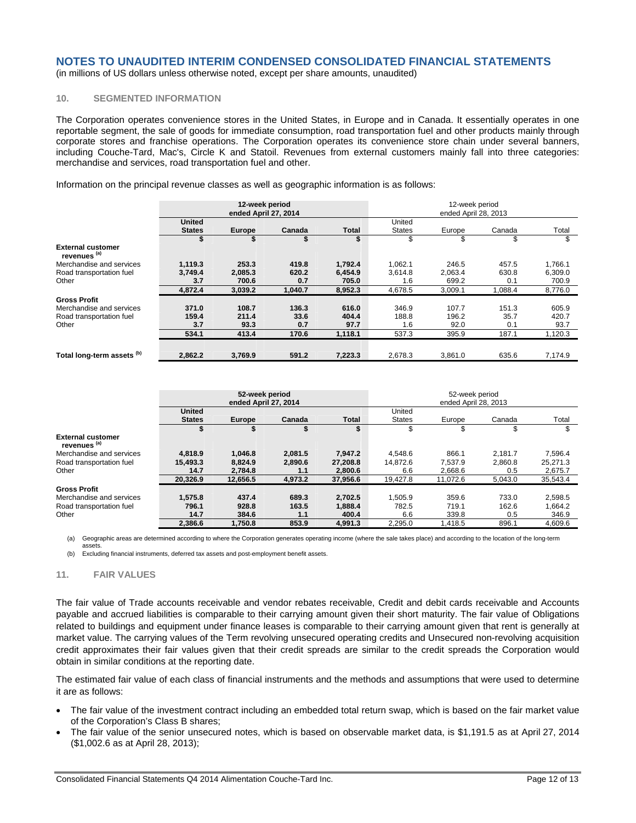(in millions of US dollars unless otherwise noted, except per share amounts, unaudited)

# **10. SEGMENTED INFORMATION**

The Corporation operates convenience stores in the United States, in Europe and in Canada. It essentially operates in one reportable segment, the sale of goods for immediate consumption, road transportation fuel and other products mainly through corporate stores and franchise operations. The Corporation operates its convenience store chain under several banners, including Couche-Tard, Mac's, Circle K and Statoil. Revenues from external customers mainly fall into three categories: merchandise and services, road transportation fuel and other.

Information on the principal revenue classes as well as geographic information is as follows:

|                                                     | 12-week period<br>ended April 27, 2014 |               |         |         | 12-week period<br>ended April 28, 2013 |         |         |         |
|-----------------------------------------------------|----------------------------------------|---------------|---------|---------|----------------------------------------|---------|---------|---------|
|                                                     | <b>United</b>                          |               |         |         | United                                 |         |         |         |
|                                                     | <b>States</b>                          | <b>Europe</b> | Canada  | Total   | <b>States</b>                          | Europe  | Canada  | Total   |
|                                                     |                                        |               |         |         | \$                                     | \$      | \$      | \$      |
| <b>External customer</b><br>revenues <sup>(a)</sup> |                                        |               |         |         |                                        |         |         |         |
| Merchandise and services                            | 1,119.3                                | 253.3         | 419.8   | 1,792.4 | 1,062.1                                | 246.5   | 457.5   | 1,766.1 |
| Road transportation fuel                            | 3,749.4                                | 2,085.3       | 620.2   | 6.454.9 | 3,614.8                                | 2,063.4 | 630.8   | 6,309.0 |
| Other                                               | 3.7                                    | 700.6         | 0.7     | 705.0   | 1.6                                    | 699.2   | 0.1     | 700.9   |
|                                                     | 4.872.4                                | 3.039.2       | 1.040.7 | 8.952.3 | 4,678.5                                | 3.009.1 | 1.088.4 | 8.776.0 |
| <b>Gross Profit</b>                                 |                                        |               |         |         |                                        |         |         |         |
| Merchandise and services                            | 371.0                                  | 108.7         | 136.3   | 616.0   | 346.9                                  | 107.7   | 151.3   | 605.9   |
| Road transportation fuel                            | 159.4                                  | 211.4         | 33.6    | 404.4   | 188.8                                  | 196.2   | 35.7    | 420.7   |
| Other                                               | 3.7                                    | 93.3          | 0.7     | 97.7    | 1.6                                    | 92.0    | 0.1     | 93.7    |
|                                                     | 534.1                                  | 413.4         | 170.6   | 1,118.1 | 537.3                                  | 395.9   | 187.1   | 1,120.3 |
|                                                     |                                        |               |         |         |                                        |         |         |         |
| Total long-term assets (b)                          | 2.862.2                                | 3.769.9       | 591.2   | 7,223.3 | 2.678.3                                | 3.861.0 | 635.6   | 7,174.9 |

|                                                     | 52-week period<br>ended April 27, 2014 |               |         |              | 52-week period<br>ended April 28, 2013 |          |         |          |
|-----------------------------------------------------|----------------------------------------|---------------|---------|--------------|----------------------------------------|----------|---------|----------|
|                                                     | <b>United</b><br><b>States</b>         | <b>Europe</b> | Canada  | <b>Total</b> | United<br><b>States</b>                | Europe   | Canada  | Total    |
|                                                     | \$                                     |               |         |              | \$                                     | \$       | \$      | \$       |
| <b>External customer</b><br>revenues <sup>(a)</sup> |                                        |               |         |              |                                        |          |         |          |
| Merchandise and services                            | 4.818.9                                | 1,046.8       | 2.081.5 | 7,947.2      | 4,548.6                                | 866.1    | 2.181.7 | 7,596.4  |
| Road transportation fuel                            | 15.493.3                               | 8,824.9       | 2.890.6 | 27.208.8     | 14.872.6                               | 7.537.9  | 2.860.8 | 25,271.3 |
| Other                                               | 14.7                                   | 2,784.8       | 1.1     | 2,800.6      | 6.6                                    | 2,668.6  | 0.5     | 2,675.7  |
|                                                     | 20.326.9                               | 12,656.5      | 4.973.2 | 37.956.6     | 19.427.8                               | 11,072.6 | 5,043.0 | 35,543.4 |
| <b>Gross Profit</b>                                 |                                        |               |         |              |                                        |          |         |          |
| Merchandise and services                            | 1.575.8                                | 437.4         | 689.3   | 2.702.5      | 1.505.9                                | 359.6    | 733.0   | 2,598.5  |
| Road transportation fuel                            | 796.1                                  | 928.8         | 163.5   | 1,888.4      | 782.5                                  | 719.1    | 162.6   | 1,664.2  |
| Other                                               | 14.7                                   | 384.6         | 1.1     | 400.4        | 6.6                                    | 339.8    | 0.5     | 346.9    |
|                                                     | 2.386.6                                | 1.750.8       | 853.9   | 4.991.3      | 2.295.0                                | 1,418.5  | 896.1   | 4.609.6  |

(a) Geographic areas are determined according to where the Corporation generates operating income (where the sale takes place) and according to the location of the long-term assets.

(b) Excluding financial instruments, deferred tax assets and post-employment benefit assets.

### **11. FAIR VALUES**

The fair value of Trade accounts receivable and vendor rebates receivable, Credit and debit cards receivable and Accounts payable and accrued liabilities is comparable to their carrying amount given their short maturity. The fair value of Obligations related to buildings and equipment under finance leases is comparable to their carrying amount given that rent is generally at market value. The carrying values of the Term revolving unsecured operating credits and Unsecured non-revolving acquisition credit approximates their fair values given that their credit spreads are similar to the credit spreads the Corporation would obtain in similar conditions at the reporting date.

The estimated fair value of each class of financial instruments and the methods and assumptions that were used to determine it are as follows:

- The fair value of the investment contract including an embedded total return swap, which is based on the fair market value of the Corporation's Class B shares;
- The fair value of the senior unsecured notes, which is based on observable market data, is \$1,191.5 as at April 27, 2014 (\$1,002.6 as at April 28, 2013);